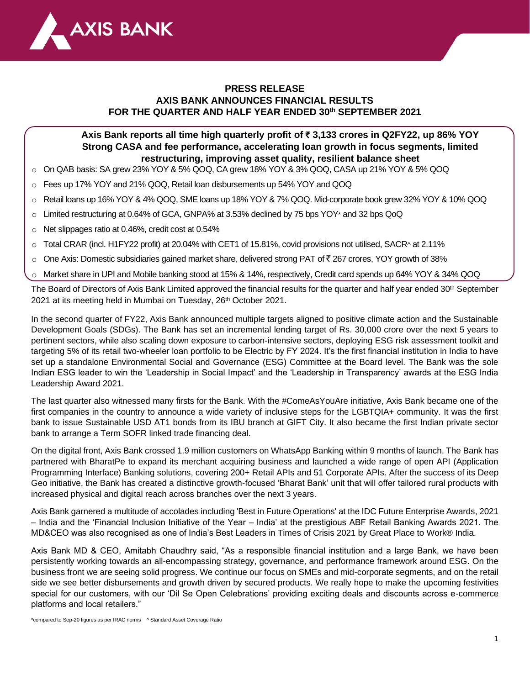

# **PRESS RELEASE AXIS BANK ANNOUNCES FINANCIAL RESULTS FOR THE QUARTER AND HALF YEAR ENDED 30 th SEPTEMBER 2021**

# **Axis Bank reports all time high quarterly profit of** ` **3,133 crores in Q2FY22, up 86% YOY Strong CASA and fee performance, accelerating loan growth in focus segments, limited restructuring, improving asset quality, resilient balance sheet**

- o On QAB basis: SA grew 23% YOY & 5% QOQ, CA grew 18% YOY & 3% QOQ, CASA up 21% YOY & 5% QOQ
- o Fees up 17% YOY and 21% QOQ, Retail loan disbursements up 54% YOY and QOQ
- o Retail loans up 16% YOY & 4% QOQ, SME loans up 18% YOY & 7% QOQ. Mid-corporate book grew 32% YOY & 10% QOQ
- o Limited restructuring at 0.64% of GCA, GNPA% at 3.53% declined by 75 bps YOY\* and 32 bps QoQ
- o Net slippages ratio at 0.46%, credit cost at 0.54%
- $\circ$  Total CRAR (incl. H1FY22 profit) at 20.04% with CET1 of 15.81%, covid provisions not utilised, SACR^ at 2.11%
- $\circ$  One Axis: Domestic subsidiaries gained market share, delivered strong PAT of  $\bar{\tau}$  267 crores, YOY growth of 38%
- o Market share in UPI and Mobile banking stood at 15% & 14%, respectively, Credit card spends up 64% YOY & 34% QOQ

The Board of Directors of Axis Bank Limited approved the financial results for the quarter and half year ended 30<sup>th</sup> September 2021 at its meeting held in Mumbai on Tuesday, 26 th October 2021.

In the second quarter of FY22, Axis Bank announced multiple targets aligned to positive climate action and the Sustainable Development Goals (SDGs). The Bank has set an incremental lending target of Rs. 30,000 crore over the next 5 years to pertinent sectors, while also scaling down exposure to carbon-intensive sectors, deploying ESG risk assessment toolkit and targeting 5% of its retail two-wheeler loan portfolio to be Electric by FY 2024. It's the first financial institution in India to have set up a standalone Environmental Social and Governance (ESG) Committee at the Board level. The Bank was the sole Indian ESG leader to win the 'Leadership in Social Impact' and the 'Leadership in Transparency' awards at the ESG India Leadership Award 2021.

The last quarter also witnessed many firsts for the Bank. With the #ComeAsYouAre initiative, Axis Bank became one of the first companies in the country to announce a wide variety of inclusive steps for the LGBTQIA+ community. It was the first bank to issue Sustainable USD AT1 bonds from its IBU branch at GIFT City. It also became the first Indian private sector bank to arrange a Term SOFR linked trade financing deal.

On the digital front, Axis Bank crossed 1.9 million customers on WhatsApp Banking within 9 months of launch. The Bank has partnered with BharatPe to expand its merchant acquiring business and launched a wide range of open API (Application Programming Interface) Banking solutions, covering 200+ Retail APIs and 51 Corporate APIs. After the success of its Deep Geo initiative, the Bank has created a distinctive growth-focused 'Bharat Bank' unit that will offer tailored rural products with increased physical and digital reach across branches over the next 3 years.

Axis Bank garnered a multitude of accolades including 'Best in Future Operations' at the IDC Future Enterprise Awards, 2021 – India and the 'Financial Inclusion Initiative of the Year – India' at the prestigious ABF Retail Banking Awards 2021. The MD&CEO was also recognised as one of India's Best Leaders in Times of Crisis 2021 by Great Place to Work® India.

Axis Bank MD & CEO, Amitabh Chaudhry said, "As a responsible financial institution and a large Bank, we have been persistently working towards an all-encompassing strategy, governance, and performance framework around ESG. On the business front we are seeing solid progress. We continue our focus on SMEs and mid-corporate segments, and on the retail side we see better disbursements and growth driven by secured products. We really hope to make the upcoming festivities special for our customers, with our 'Dil Se Open Celebrations' providing exciting deals and discounts across e-commerce platforms and local retailers."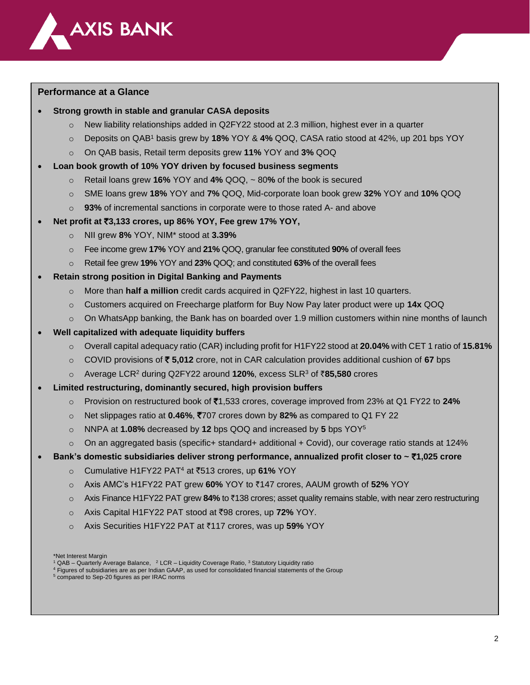

## **Performance at a Glance**

### • **Strong growth in stable and granular CASA deposits**

- New liability relationships added in Q2FY22 stood at 2.3 million, highest ever in a quarter
- o Deposits on QAB<sup>1</sup> basis grew by **18%** YOY & **4%** QOQ, CASA ratio stood at 42%, up 201 bps YOY
- o On QAB basis, Retail term deposits grew **11%** YOY and **3%** QOQ

### • **Loan book growth of 10% YOY driven by focused business segments**

- o Retail loans grew **16%** YOY and **4%** QOQ, ~ 80**%** of the book is secured
- o SME loans grew **18%** YOY and **7%** QOQ, Mid-corporate loan book grew **32%** YOY and **10%** QOQ
- o **93%** of incremental sanctions in corporate were to those rated A- and above

## • **Net profit at** `**3,133 crores, up 86% YOY, Fee grew 17% YOY,**

- o NII grew **8%** YOY, NIM\* stood at **3.39%**
- o Fee income grew **17%** YOY and **21%** QOQ, granular fee constituted **90%** of overall fees
- o Retail fee grew **19%** YOY and **23%** QOQ; and constituted **63%** of the overall fees

## • **Retain strong position in Digital Banking and Payments**

- o More than **half a million** credit cards acquired in Q2FY22, highest in last 10 quarters.
- o Customers acquired on Freecharge platform for Buy Now Pay later product were up **14x** QOQ
- $\circ$  On WhatsApp banking, the Bank has on boarded over 1.9 million customers within nine months of launch

## • **Well capitalized with adequate liquidity buffers**

- o Overall capital adequacy ratio (CAR) including profit for H1FY22 stood at **20.04%** with CET 1 ratio of **15.81%**
- o COVID provisions of ` **5,012** crore, not in CAR calculation provides additional cushion of **67** bps
- o Average LCR<sup>2</sup> during Q2FY22 around **120%**, excess SLR<sup>3</sup> of `**85,580** crores

### • **Limited restructuring, dominantly secured, high provision buffers**

- o Provision on restructured book of `1,533 crores, coverage improved from 23% at Q1 FY22 to **24%**
- o Net slippages ratio at **0.46%**, `707 crores down by **82%** as compared to Q1 FY 22
- o NNPA at **1.08%** decreased by **12** bps QOQ and increased by **5** bps YOY<sup>5</sup>
- $\circ$  On an aggregated basis (specific+ standard+ additional + Covid), our coverage ratio stands at 124%
- **Bank's domestic subsidiaries deliver strong performance, annualized profit closer to ~** `**1,025 crore**
	- o Cumulative H1FY22 PAT<sup>4</sup> at `513 crores, up **61%** YOY
	- o Axis AMC's H1FY22 PAT grew **60%** YOY to `147 crores, AAUM growth of **52%** YOY
	- o Axis Finance H1FY22 PAT grew **84%** to `138 crores; asset quality remains stable, with near zero restructuring
	- o Axis Capital H1FY22 PAT stood at `98 crores, up **72%** YOY.
	- o Axis Securities H1FY22 PAT at `117 crores, was up **59%** YOY

\*Net Interest Margin

 $1$  QAB – Quarterly Average Balance,  $2$  LCR – Liquidity Coverage Ratio,  $3$  Statutory Liquidity ratio

<sup>4</sup> Figures of subsidiaries are as per Indian GAAP, as used for consolidated financial statements of the Group

<sup>5</sup> compared to Sep-20 figures as per IRAC norms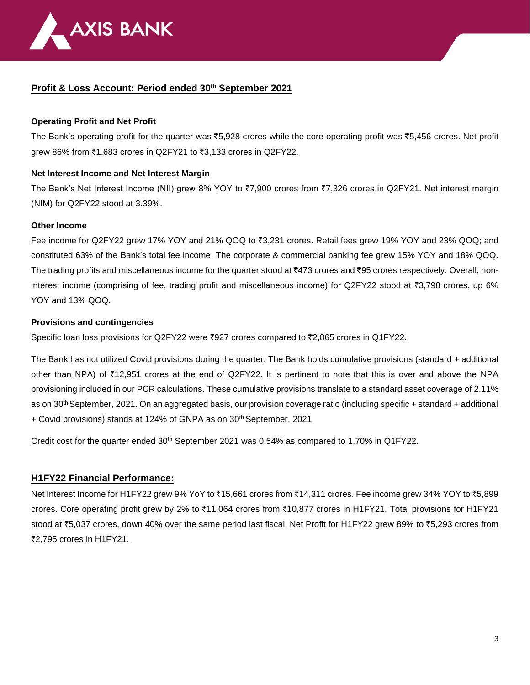

## **Profit & Loss Account: Period ended 30 th September 2021**

## **Operating Profit and Net Profit**

The Bank's operating profit for the quarter was  $\bar{c}5,928$  crores while the core operating profit was  $\bar{c}5,456$  crores. Net profit grew 86% from ₹1,683 crores in Q2FY21 to ₹3,133 crores in Q2FY22.

## **Net Interest Income and Net Interest Margin**

The Bank's Net Interest Income (NII) grew 8% YOY to ₹7,900 crores from ₹7,326 crores in Q2FY21. Net interest margin (NIM) for Q2FY22 stood at 3.39%.

### **Other Income**

Fee income for Q2FY22 grew 17% YOY and 21% QOQ to ₹3,231 crores. Retail fees grew 19% YOY and 23% QOQ; and constituted 63% of the Bank's total fee income. The corporate & commercial banking fee grew 15% YOY and 18% QOQ. The trading profits and miscellaneous income for the quarter stood at  $*473$  crores and  $*95$  crores respectively. Overall, noninterest income (comprising of fee, trading profit and miscellaneous income) for Q2FY22 stood at  $\bar{\tau}3,798$  crores, up 6% YOY and 13% QOQ.

## **Provisions and contingencies**

Specific loan loss provisions for Q2FY22 were  $\overline{z}927$  crores compared to  $\overline{z}2,865$  crores in Q1FY22.

The Bank has not utilized Covid provisions during the quarter. The Bank holds cumulative provisions (standard + additional other than NPA) of  $\overline{12,951}$  crores at the end of Q2FY22. It is pertinent to note that this is over and above the NPA provisioning included in our PCR calculations. These cumulative provisions translate to a standard asset coverage of 2.11% as on 30<sup>th</sup> September, 2021. On an aggregated basis, our provision coverage ratio (including specific + standard + additional + Covid provisions) stands at 124% of GNPA as on 30<sup>th</sup> September, 2021.

Credit cost for the quarter ended 30th September 2021 was 0.54% as compared to 1.70% in Q1FY22.

## **H1FY22 Financial Performance:**

Net Interest Income for H1FY22 grew 9% YoY to ₹15,661 crores from ₹14,311 crores. Fee income grew 34% YOY to ₹5,899 crores. Core operating profit grew by 2% to ₹11,064 crores from ₹10,877 crores in H1FY21. Total provisions for H1FY21 stood at  $\overline{5,037}$  crores, down 40% over the same period last fiscal. Net Profit for H1FY22 grew 89% to  $\overline{5,293}$  crores from ₹2.795 crores in H1FY21.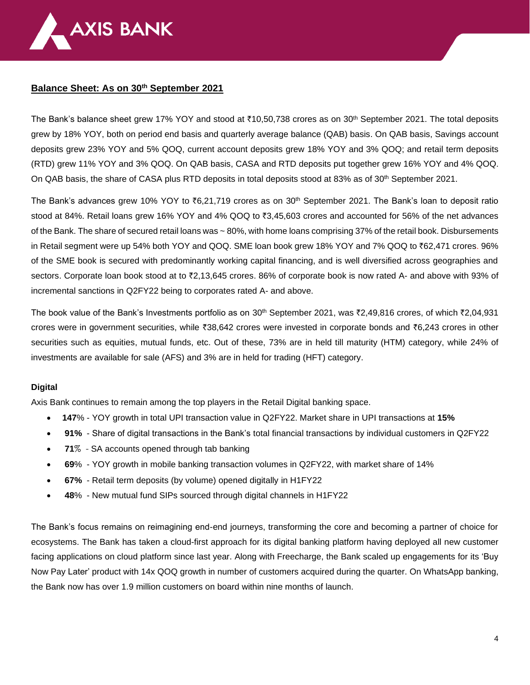

## **Balance Sheet: As on 30 th September 2021**

The Bank's balance sheet grew 17% YOY and stood at ₹10,50,738 crores as on 30<sup>th</sup> September 2021. The total deposits grew by 18% YOY, both on period end basis and quarterly average balance (QAB) basis. On QAB basis, Savings account deposits grew 23% YOY and 5% QOQ, current account deposits grew 18% YOY and 3% QOQ; and retail term deposits (RTD) grew 11% YOY and 3% QOQ. On QAB basis, CASA and RTD deposits put together grew 16% YOY and 4% QOQ. On QAB basis, the share of CASA plus RTD deposits in total deposits stood at 83% as of 30<sup>th</sup> September 2021.

The Bank's advances grew 10% YOY to  $\bar{e}$ 6,21,719 crores as on 30<sup>th</sup> September 2021. The Bank's loan to deposit ratio stood at 84%. Retail loans grew 16% YOY and 4% QOQ to  $\bar{z}3,45,603$  crores and accounted for 56% of the net advances of the Bank. The share of secured retail loans was ~80%, with home loans comprising 37% of the retail book. Disbursements in Retail segment were up 54% both YOY and QOQ. SME loan book grew 18% YOY and 7% QOQ to `62,471 crores. 96% of the SME book is secured with predominantly working capital financing, and is well diversified across geographies and sectors. Corporate loan book stood at to ₹2,13,645 crores. 86% of corporate book is now rated A- and above with 93% of incremental sanctions in Q2FY22 being to corporates rated A- and above.

The book value of the Bank's Investments portfolio as on 30<sup>th</sup> September 2021, was ₹2,49,816 crores, of which ₹2,04,931 crores were in government securities, while  $\text{\textdegree{38}},642$  crores were invested in corporate bonds and  $\text{\textdegree{6}},243$  crores in other securities such as equities, mutual funds, etc. Out of these, 73% are in held till maturity (HTM) category, while 24% of investments are available for sale (AFS) and 3% are in held for trading (HFT) category.

### **Digital**

Axis Bank continues to remain among the top players in the Retail Digital banking space.

- **147**% YOY growth in total UPI transaction value in Q2FY22. Market share in UPI transactions at **15%**
- **91%** Share of digital transactions in the Bank's total financial transactions by individual customers in Q2FY22
- **71**% SA accounts opened through tab banking
- **69**% YOY growth in mobile banking transaction volumes in Q2FY22, with market share of 14%
- **67%** Retail term deposits (by volume) opened digitally in H1FY22
- **48**% New mutual fund SIPs sourced through digital channels in H1FY22

The Bank's focus remains on reimagining end-end journeys, transforming the core and becoming a partner of choice for ecosystems. The Bank has taken a cloud-first approach for its digital banking platform having deployed all new customer facing applications on cloud platform since last year. Along with Freecharge, the Bank scaled up engagements for its 'Buy Now Pay Later' product with 14x QOQ growth in number of customers acquired during the quarter. On WhatsApp banking, the Bank now has over 1.9 million customers on board within nine months of launch.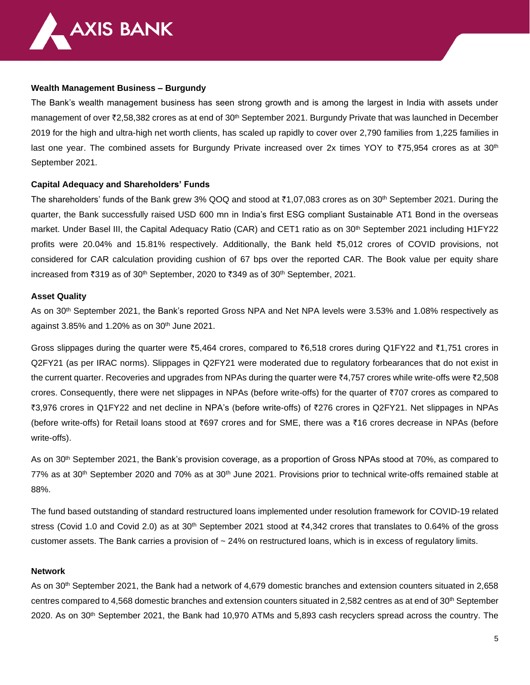

#### **Wealth Management Business – Burgundy**

The Bank's wealth management business has seen strong growth and is among the largest in India with assets under management of over ₹2,58,382 crores as at end of 30<sup>th</sup> September 2021. Burgundy Private that was launched in December 2019 for the high and ultra-high net worth clients, has scaled up rapidly to cover over 2,790 families from 1,225 families in last one year. The combined assets for Burgundy Private increased over 2x times YOY to ₹75,954 crores as at 30<sup>th</sup> September 2021.

### **Capital Adequacy and Shareholders' Funds**

The shareholders' funds of the Bank grew 3% QOQ and stood at ₹1,07,083 crores as on 30<sup>th</sup> September 2021. During the quarter, the Bank successfully raised USD 600 mn in India's first ESG compliant Sustainable AT1 Bond in the overseas market. Under Basel III, the Capital Adequacy Ratio (CAR) and CET1 ratio as on 30<sup>th</sup> September 2021 including H1FY22 profits were 20.04% and 15.81% respectively. Additionally, the Bank held `5,012 crores of COVID provisions, not considered for CAR calculation providing cushion of 67 bps over the reported CAR. The Book value per equity share increased from ₹319 as of 30<sup>th</sup> September, 2020 to ₹349 as of 30<sup>th</sup> September, 2021.

#### **Asset Quality**

As on 30th September 2021, the Bank's reported Gross NPA and Net NPA levels were 3.53% and 1.08% respectively as against 3.85% and 1.20% as on 30th June 2021.

Gross slippages during the quarter were  $\overline{5}5,464$  crores, compared to  $\overline{5}6,518$  crores during Q1FY22 and  $\overline{5}1,751$  crores in Q2FY21 (as per IRAC norms). Slippages in Q2FY21 were moderated due to regulatory forbearances that do not exist in the current quarter. Recoveries and upgrades from NPAs during the quarter were  $\bar{\zeta}4.757$  crores while write-offs were  $\bar{\zeta}2.508$ crores. Consequently, there were net slippages in NPAs (before write-offs) for the quarter of `707 crores as compared to `3,976 crores in Q1FY22 and net decline in NPA's (before write-offs) of `276 crores in Q2FY21. Net slippages in NPAs (before write-offs) for Retail loans stood at  $\bar{e}$ 697 crores and for SME, there was a  $\bar{e}$ 16 crores decrease in NPAs (before write-offs).

As on 30th September 2021, the Bank's provision coverage, as a proportion of Gross NPAs stood at 70%, as compared to  $77\%$  as at  $30<sup>th</sup>$  September 2020 and 70% as at  $30<sup>th</sup>$  June 2021. Provisions prior to technical write-offs remained stable at 88%.

The fund based outstanding of standard restructured loans implemented under resolution framework for COVID-19 related stress (Covid 1.0 and Covid 2.0) as at 30<sup>th</sup> September 2021 stood at  $\bar{\tau}4,342$  crores that translates to 0.64% of the gross customer assets. The Bank carries a provision of  $\sim$  24% on restructured loans, which is in excess of regulatory limits.

#### **Network**

As on 30<sup>th</sup> September 2021, the Bank had a network of 4,679 domestic branches and extension counters situated in 2,658 centres compared to 4,568 domestic branches and extension counters situated in 2,582 centres as at end of 30<sup>th</sup> September  $2020$ . As on  $30<sup>th</sup>$  September 2021, the Bank had 10,970 ATMs and 5,893 cash recyclers spread across the country. The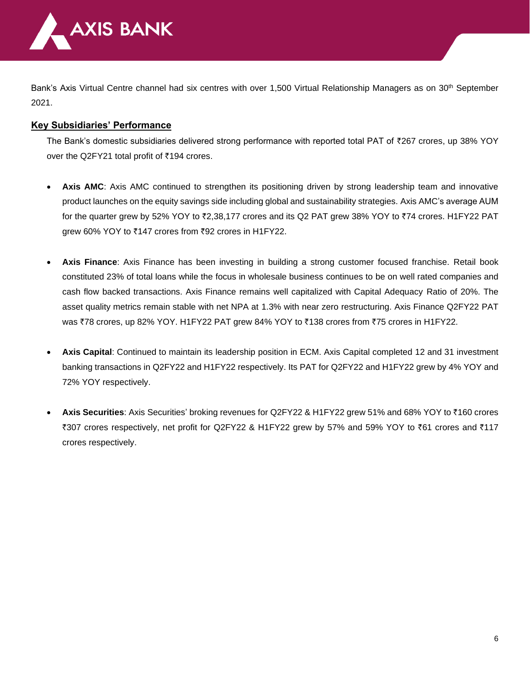

Bank's Axis Virtual Centre channel had six centres with over 1,500 Virtual Relationship Managers as on 30<sup>th</sup> September 2021.

# **Key Subsidiaries' Performance**

The Bank's domestic subsidiaries delivered strong performance with reported total PAT of  $\bar{z}$ 267 crores, up 38% YOY over the Q2FY21 total profit of ₹194 crores.

- Axis AMC: Axis AMC continued to strengthen its positioning driven by strong leadership team and innovative product launches on the equity savings side including global and sustainability strategies. Axis AMC's average AUM for the quarter grew by 52% YOY to  $\overline{z}2,38,177$  crores and its Q2 PAT grew 38% YOY to  $\overline{z}74$  crores. H1FY22 PAT grew 60% YOY to ₹147 crores from ₹92 crores in H1FY22.
- **Axis Finance**: Axis Finance has been investing in building a strong customer focused franchise. Retail book constituted 23% of total loans while the focus in wholesale business continues to be on well rated companies and cash flow backed transactions. Axis Finance remains well capitalized with Capital Adequacy Ratio of 20%. The asset quality metrics remain stable with net NPA at 1.3% with near zero restructuring. Axis Finance Q2FY22 PAT was ₹78 crores, up 82% YOY. H1FY22 PAT grew 84% YOY to ₹138 crores from ₹75 crores in H1FY22.
- **Axis Capital**: Continued to maintain its leadership position in ECM. Axis Capital completed 12 and 31 investment banking transactions in Q2FY22 and H1FY22 respectively. Its PAT for Q2FY22 and H1FY22 grew by 4% YOY and 72% YOY respectively.
- **Axis Securities**: Axis Securities' broking revenues for Q2FY22 & H1FY22 grew 51% and 68% YOY to `160 crores ₹307 crores respectively, net profit for Q2FY22 & H1FY22 grew by 57% and 59% YOY to ₹61 crores and ₹117 crores respectively.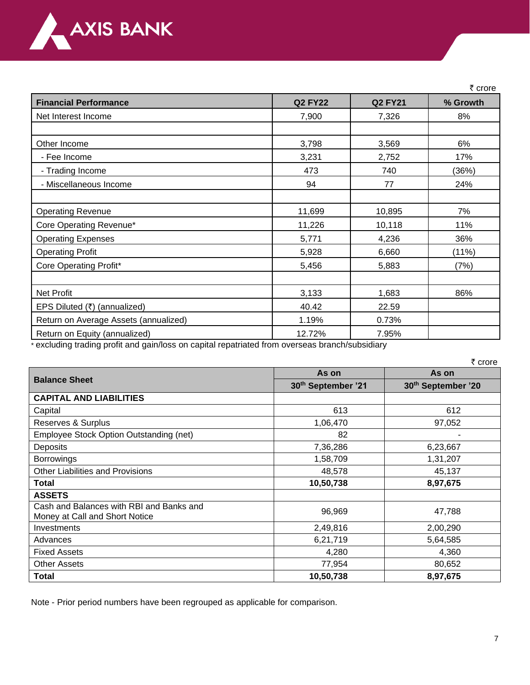

|                                                                                                                                      |                |                | ₹ crore  |
|--------------------------------------------------------------------------------------------------------------------------------------|----------------|----------------|----------|
| <b>Financial Performance</b>                                                                                                         | <b>Q2 FY22</b> | <b>Q2 FY21</b> | % Growth |
| Net Interest Income                                                                                                                  | 7,900          | 7,326          | 8%       |
|                                                                                                                                      |                |                |          |
| Other Income                                                                                                                         | 3,798          | 3,569          | 6%       |
| - Fee Income                                                                                                                         | 3,231          | 2,752          | 17%      |
| - Trading Income                                                                                                                     | 473            | 740            | (36%)    |
| - Miscellaneous Income                                                                                                               | 94             | 77             | 24%      |
|                                                                                                                                      |                |                |          |
| <b>Operating Revenue</b>                                                                                                             | 11,699         | 10,895         | 7%       |
| Core Operating Revenue*                                                                                                              | 11,226         | 10,118         | 11%      |
| <b>Operating Expenses</b>                                                                                                            | 5,771          | 4,236          | 36%      |
| <b>Operating Profit</b>                                                                                                              | 5,928          | 6,660          | (11%)    |
| Core Operating Profit*                                                                                                               | 5,456          | 5,883          | (7%)     |
|                                                                                                                                      |                |                |          |
| <b>Net Profit</b>                                                                                                                    | 3,133          | 1,683          | 86%      |
| EPS Diluted (₹) (annualized)                                                                                                         | 40.42          | 22.59          |          |
| Return on Average Assets (annualized)                                                                                                | 1.19%          | 0.73%          |          |
| Return on Equity (annualized)<br>secondo college de activa de constituirse de la college de la constitución de catalante de decision | 12.72%         | 7.95%          |          |

excluding trading profit and gain/loss on capital repatriated from overseas branch/subsidiary

|                                                                            |                    | ₹ crore            |  |
|----------------------------------------------------------------------------|--------------------|--------------------|--|
| <b>Balance Sheet</b>                                                       | As on              | As on              |  |
|                                                                            | 30th September '21 | 30th September '20 |  |
| <b>CAPITAL AND LIABILITIES</b>                                             |                    |                    |  |
| Capital                                                                    | 613                | 612                |  |
| Reserves & Surplus                                                         | 1,06,470           | 97,052             |  |
| Employee Stock Option Outstanding (net)                                    | 82                 |                    |  |
| Deposits                                                                   | 7,36,286           | 6,23,667           |  |
| <b>Borrowings</b>                                                          | 1,58,709           | 1,31,207           |  |
| <b>Other Liabilities and Provisions</b>                                    | 48,578             | 45,137             |  |
| Total                                                                      | 10,50,738          | 8,97,675           |  |
| <b>ASSETS</b>                                                              |                    |                    |  |
| Cash and Balances with RBI and Banks and<br>Money at Call and Short Notice | 96,969             | 47,788             |  |
| Investments                                                                | 2,49,816           | 2,00,290           |  |
| Advances                                                                   | 6,21,719           | 5,64,585           |  |
| <b>Fixed Assets</b>                                                        | 4,280              | 4,360              |  |
| <b>Other Assets</b>                                                        | 77,954             | 80,652             |  |
| Total                                                                      | 10,50,738          | 8,97,675           |  |

Note - Prior period numbers have been regrouped as applicable for comparison.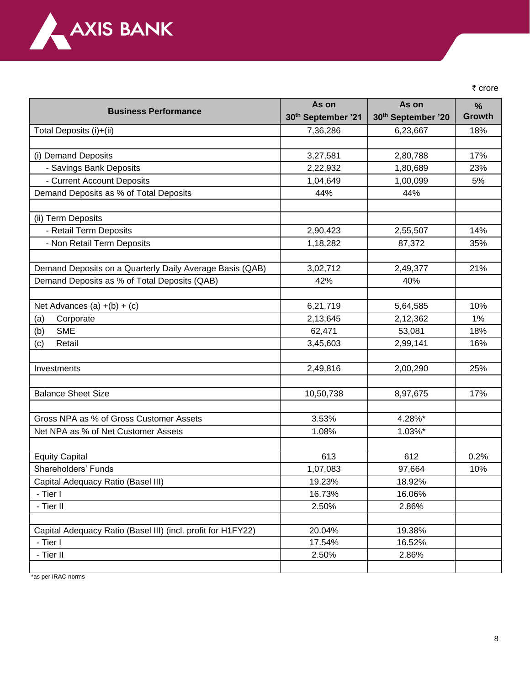

₹ crore

|                                                              | As on              | As on                          | $\frac{9}{6}$ |
|--------------------------------------------------------------|--------------------|--------------------------------|---------------|
| <b>Business Performance</b>                                  | 30th September '21 | 30 <sup>th</sup> September '20 | <b>Growth</b> |
| Total Deposits (i)+(ii)                                      | 7,36,286           | 6,23,667                       | 18%           |
|                                                              |                    |                                |               |
| (i) Demand Deposits                                          | 3,27,581           | 2,80,788                       | 17%           |
| - Savings Bank Deposits                                      | 2,22,932           | 1,80,689                       | 23%           |
| - Current Account Deposits                                   | 1,04,649           | 1,00,099                       | 5%            |
| Demand Deposits as % of Total Deposits                       | 44%                | 44%                            |               |
|                                                              |                    |                                |               |
| (ii) Term Deposits                                           |                    |                                |               |
| - Retail Term Deposits                                       | 2,90,423           | 2,55,507                       | 14%           |
| - Non Retail Term Deposits                                   | 1,18,282           | 87,372                         | 35%           |
|                                                              |                    |                                |               |
| Demand Deposits on a Quarterly Daily Average Basis (QAB)     | 3,02,712           | 2,49,377                       | 21%           |
| Demand Deposits as % of Total Deposits (QAB)                 | 42%                | 40%                            |               |
|                                                              |                    |                                |               |
| Net Advances (a) $+(b) + (c)$                                | 6,21,719           | 5,64,585                       | 10%           |
| Corporate<br>(a)                                             | 2,13,645           | 2,12,362                       | 1%            |
| <b>SME</b><br>(b)                                            | 62,471             | 53,081                         | 18%           |
| Retail<br>(c)                                                | 3,45,603           | 2,99,141                       | 16%           |
|                                                              |                    |                                |               |
| Investments                                                  | 2,49,816           | 2,00,290                       | 25%           |
|                                                              |                    |                                |               |
| <b>Balance Sheet Size</b>                                    | 10,50,738          | 8,97,675                       | 17%           |
|                                                              |                    |                                |               |
| Gross NPA as % of Gross Customer Assets                      | 3.53%              | 4.28%*                         |               |
| Net NPA as % of Net Customer Assets                          | 1.08%              | 1.03%*                         |               |
|                                                              |                    |                                |               |
| <b>Equity Capital</b>                                        | 613                | 612                            | 0.2%          |
| Shareholders' Funds                                          | 1,07,083           | 97,664                         | 10%           |
| Capital Adequacy Ratio (Basel III)                           | 19.23%             | 18.92%                         |               |
| - Tier I                                                     | 16.73%             | 16.06%                         |               |
| - Tier II                                                    | 2.50%              | 2.86%                          |               |
|                                                              |                    |                                |               |
| Capital Adequacy Ratio (Basel III) (incl. profit for H1FY22) | 20.04%             | 19.38%                         |               |
| - Tier I                                                     | 17.54%             | 16.52%                         |               |
| - Tier II                                                    | 2.50%              | 2.86%                          |               |
|                                                              |                    |                                |               |

\*as per IRAC norms